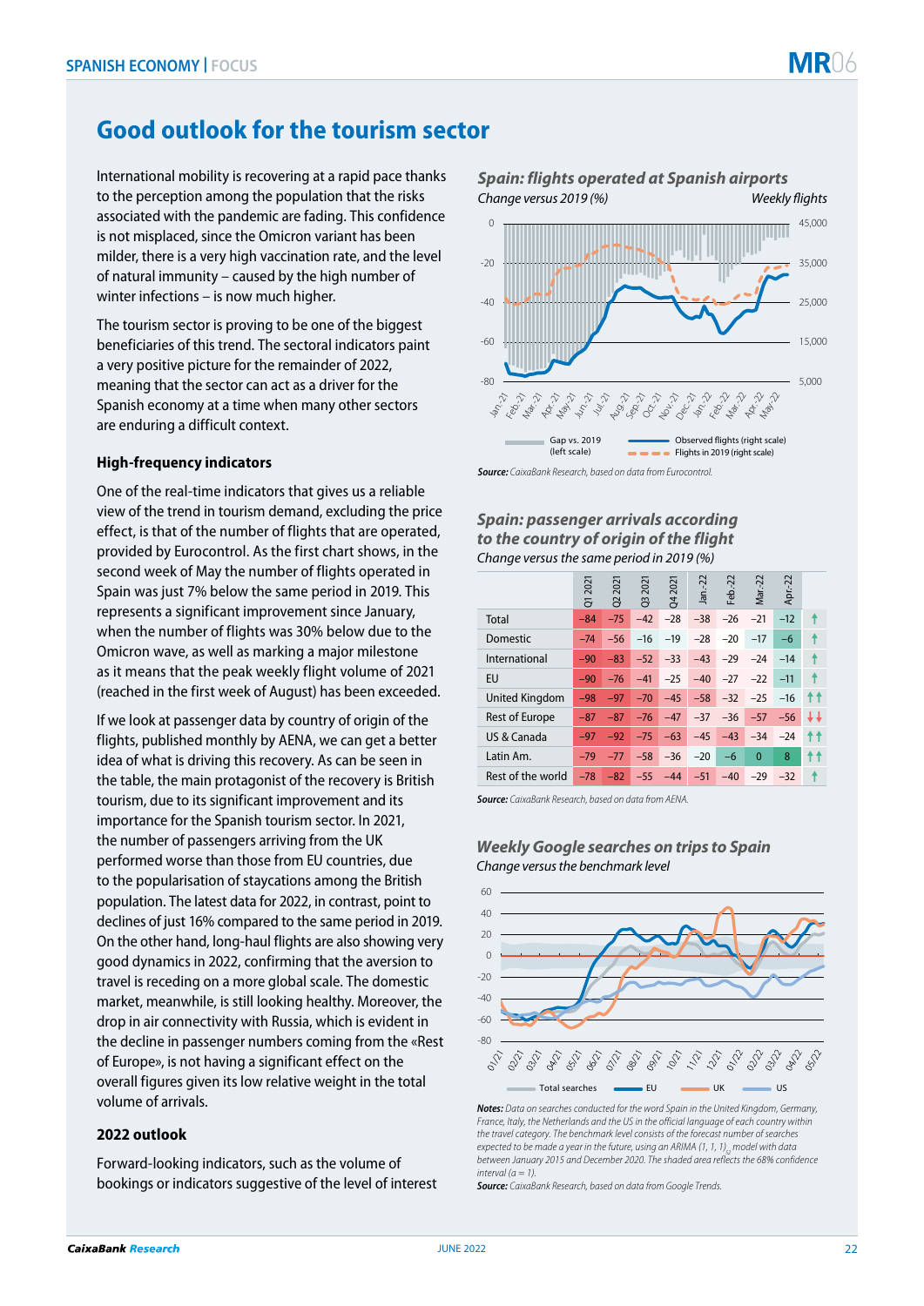

# **Good outlook for the tourism sector**

International mobility is recovering at a rapid pace thanks to the perception among the population that the risks associated with the pandemic are fading. This confidence is not misplaced, since the Omicron variant has been milder, there is a very high vaccination rate, and the level of natural immunity – caused by the high number of winter infections – is now much higher.

The tourism sector is proving to be one of the biggest beneficiaries of this trend. The sectoral indicators paint a very positive picture for the remainder of 2022, meaning that the sector can act as a driver for the Spanish economy at a time when many other sectors are enduring a difficult context.

## **High-frequency indicators**

One of the real-time indicators that gives us a reliable view of the trend in tourism demand, excluding the price effect, is that of the number of flights that are operated, provided by Eurocontrol. As the first chart shows, in the second week of May the number of flights operated in Spain was just 7% below the same period in 2019. This represents a significant improvement since January, when the number of flights was 30% below due to the Omicron wave, as well as marking a major milestone as it means that the peak weekly flight volume of 2021 (reached in the first week of August) has been exceeded.

If we look at passenger data by country of origin of the flights, published monthly by AENA, we can get a better idea of what is driving this recovery. As can be seen in the table, the main protagonist of the recovery is British tourism, due to its significant improvement and its importance for the Spanish tourism sector. In 2021, the number of passengers arriving from the UK performed worse than those from EU countries, due to the popularisation of staycations among the British population. The latest data for 2022, in contrast, point to declines of just 16% compared to the same period in 2019. On the other hand, long-haul flights are also showing very good dynamics in 2022, confirming that the aversion to travel is receding on a more global scale. The domestic market, meanwhile, is still looking healthy. Moreover, the drop in air connectivity with Russia, which is evident in the decline in passenger numbers coming from the «Rest of Europe», is not having a significant effect on the overall figures given its low relative weight in the total volume of arrivals.

#### **2022 outlook**

Forward-looking indicators, such as the volume of bookings or indicators suggestive of the level of interest



*Source: CaixaBank Research, based on data from Eurocontrol.*

*Spain: passenger arrivals according to the country of origin of the flight Change versus the same period in 2019 (%)*

|                       | 2021<br>$\overline{a}$ | 2021<br>$\tilde{\alpha}$ | 2021<br>G | Q4 2021 | $Jan.-22$ | Feb.-22 | Mar.-22     | Apr - 22 |           |
|-----------------------|------------------------|--------------------------|-----------|---------|-----------|---------|-------------|----------|-----------|
| <b>Total</b>          | $-84$                  | $-75$                    | $-42$     | $-28$   | $-38$     | $-26$   | $-21$       | $-12$    |           |
| Domestic              | $-74$                  | $-56$                    | $-16$     | $-19$   | $-28$     | $-20$   | $-17$       | $-6$     |           |
| International         | $-90$                  | $-83$                    | $-52$     | $-33$   | $-43$     | $-29$   | $-24$       | $-14$    |           |
| EU                    | $-90$                  | $-76$                    | $-41$     | $-25$   | $-40$     | $-27$   | $-22$       | $-11$    |           |
| United Kingdom        | $-98$                  | $-97$                    | $-70$     | $-45$   | $-58$     | $-32$   | $-25$       | $-16$    |           |
| <b>Rest of Europe</b> | $-87$                  | $-87$                    | $-76$     | $-47$   | $-37$     | $-36$   | $-57$       | $-56$    | ++        |
| US & Canada           | $-97$                  | $-92$                    | $-75$     | $-63$   | $-45$     | $-43$   | $-34$       | $-24$    | <b>11</b> |
| Latin Am.             | $-79$                  | $-77$                    | $-58$     | $-36$   | $-20$     | $-6$    | $\mathbf 0$ | 8        |           |
| Rest of the world     | $-78$                  | $-82$                    | $-55$     | $-44$   | $-51$     | $-40$   | $-29$       | $-32$    |           |

*Source: CaixaBank Research, based on data from AENA.*

# *Weekly Google searches on trips to Spain Change versus the benchmark level*



*Notes: Data on searches conducted for the word Spain in the United Kingdom, Germany, France, Italy, the Netherlands and the US in the official language of each country within the travel category. The benchmark level consists of the forecast number of searches expected to be made a year in the future, using an ARIMA (1, 1, 1) 52 model with data between January 2015 and December 2020. The shaded area reflects the 68% confidence*   $interval (a = 1)$ 

*Source: CaixaBank Research, based on data from Google Trends.*